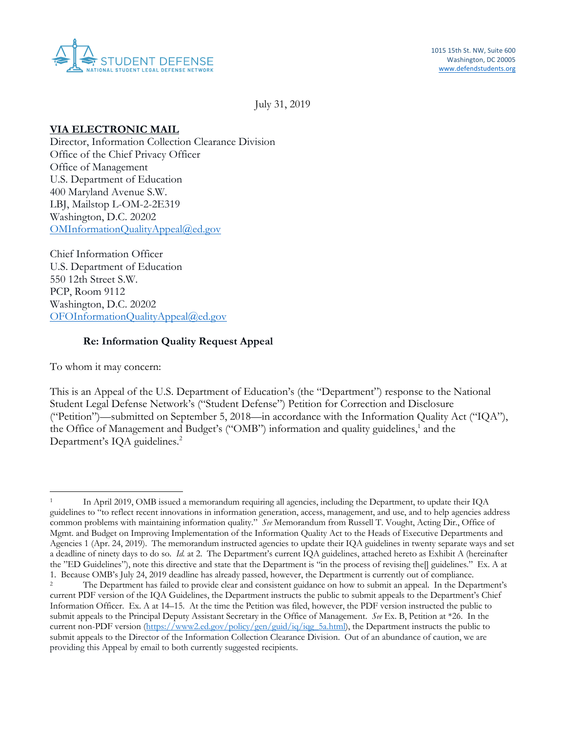

July 31, 2019

## **VIA ELECTRONIC MAIL**

Office of Management 400 Maryland Avenue S.W. Washington, D.C. 20202 Director, Information Collection Clearance Division Office of the Chief Privacy Officer U.S. Department of Education LBJ, Mailstop L-OM-2-2E319 [OMInformationQualityAppeal@ed.gov](mailto:OMInformationQualityAppeal@ed.gov)

Chief Information Officer Washington, D.C. 20202 Chief Information Officer U.S. Department of Education 550 12th Street S.W. PCP, Room 9112 [OFOInformationQualityAppeal@ed.gov](mailto:OFOInformationQualityAppeal@ed.gov)

## **Re: Information Quality Request Appeal**

To whom it may concern:

 This is an Appeal of the U.S. Department of Education's (the "Department") response to the National the Office of Management and Budget's ("OMB") information and quality guidelines,<sup>1</sup> and the Department's IQA guidelines.<sup>2</sup> Student Legal Defense Network's ("Student Defense") Petition for Correction and Disclosure ("Petition")—submitted on September 5, 2018—in accordance with the Information Quality Act ("IQA"),

 guidelines to "to reflect recent innovations in information generation, access, management, and use, and to help agencies address common problems with maintaining information quality." *See* Memorandum from Russell T. Vought, Acting Dir., Office of Mgmt. and Budget on Improving Implementation of the Information Quality Act to the Heads of Executive Departments and Agencies 1 (Apr. 24, 2019). The memorandum instructed agencies to update their IQA guidelines in twenty separate ways and set a deadline of ninety days to do so. *Id.* at 2. The Department's current IQA guidelines, attached hereto as Exhibit A (hereinafter the "ED Guidelines"), note this directive and state that the Department is "in the process of revising the[] guidelines." Ex. A at In April 2019, OMB issued a memorandum requiring all agencies, including the Department, to update their IQA

<sup>1.</sup> Because OMB's July 24, 2019 deadline has already passed, however, the Department is currently out of compliance.<br><sup>2</sup> The Department has failed to provide clear and consistent guidance on how to submit an appeal. In the  $\overline{c}$  current PDF version of the IQA Guidelines, the Department instructs the public to submit appeals to the Department's Chief Information Officer. Ex. A at 14–15. At the time the Petition was filed, however, the PDF version instructed the public to submit appeals to the Principal Deputy Assistant Secretary in the Office of Management. *See* Ex. B, Petition at \*26. In the current non-PDF version [\(https://www2.ed.gov/policy/gen/guid/iq/iqg\\_5a.html\)](https://www2.ed.gov/policy/gen/guid/iq/iqg_5a.html), the Department instructs the public to submit appeals to the Director of the Information Collection Clearance Division. Out of an abundance of caution, we are providing this Appeal by email to both currently suggested recipients.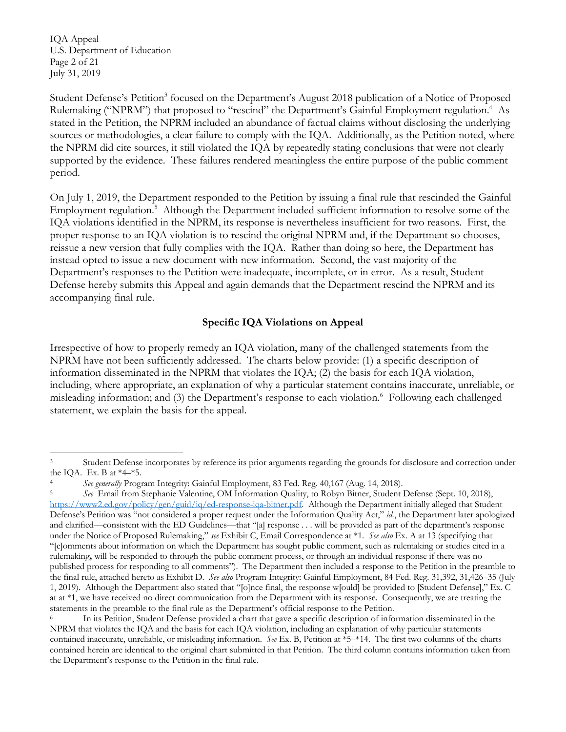U.S. Department of Education Page 2 of 21 IQA Appeal July 31, 2019

Student Defense's Petition<sup>3</sup> focused on the Department's August 2018 publication of a Notice of Proposed Rulemaking ("NPRM") that proposed to "rescind" the Department's Gainful Employment regulation.<sup>4</sup> As sources or methodologies, a clear failure to comply with the IQA. Additionally, as the Petition noted, where the NPRM did cite sources, it still violated the IQA by repeatedly stating conclusions that were not clearly period. stated in the Petition, the NPRM included an abundance of factual claims without disclosing the underlying supported by the evidence. These failures rendered meaningless the entire purpose of the public comment

period.<br>On July 1, 2019, the Department responded to the Petition by issuing a final rule that rescinded the Gainful Employment regulation.<sup>5</sup> Although the Department included sufficient information to resolve some of the IQA violations identified in the NPRM, its response is nevertheless insufficient for two reasons. First, the proper response to an IQA violation is to rescind the original NPRM and, if the Department so chooses, reissue a new version that fully complies with the IQA. Rather than doing so here, the Department has instead opted to issue a new document with new information. Second, the vast majority of the Department's responses to the Petition were inadequate, incomplete, or in error. As a result, Student Defense hereby submits this Appeal and again demands that the Department rescind the NPRM and its accompanying final rule.

## **Specific IQA Violations on Appeal**

 Irrespective of how to properly remedy an IQA violation, many of the challenged statements from the NPRM have not been sufficiently addressed. The charts below provide: (1) a specific description of misleading information; and (3) the Department's response to each violation.<sup>6</sup> Following each challenged statement, we explain the basis for the appeal. information disseminated in the NPRM that violates the IQA; (2) the basis for each IQA violation, including, where appropriate, an explanation of why a particular statement contains inaccurate, unreliable, or

 $\overline{3}$ the IQA. Ex. B at  $*4-*5$ . Student Defense incorporates by reference its prior arguments regarding the grounds for disclosure and correction under

 $\sqrt{5}$  [https://www2.ed.gov/policy/gen/guid/iq/ed-response-iqa-bitner.pdf.](https://www2.ed.gov/policy/gen/guid/iq/ed-response-iqa-bitner.pdf) Although the Department initially alleged that Student Defense's Petition was "not considered a proper request under the Information Quality Act," *id.*, the Department later apologized and clarified—consistent with the ED Guidelines—that "[a] response . . . will be provided as part of the department's response under the Notice of Proposed Rulemaking," *see* Exhibit C, Email Correspondence at \*1. *See also* Ex. A at 13 (specifying that "[c]omments about information on which the Department has sought public comment, such as rulemaking or studies cited in a rulemaking**,** will be responded to through the public comment process, or through an individual response if there was no published process for responding to all comments"). The Department then included a response to the Petition in the preamble to the final rule, attached hereto as Exhibit D. *See also* Program Integrity: Gainful Employment, 84 Fed. Reg. 31,392, 31,426–35 (July 1, 2019). Although the Department also stated that "[o]nce final, the response w[ould] be provided to [Student Defense]," Ex. C at at  $*1$ , we have received no direct communication from the Department with its response. Consequently, we are treating the statements in the preamble to the final rule as the Department's official response to the Petition. See generally Program Integrity: Gainful Employment, 83 Fed. Reg. 40,167 (Aug. 14, 2018).<br>See Email from Stephanie Valentine, OM Information Quality, to Robyn Bitner, Student Defense (Sept. 10, 2018),

 NPRM that violates the IQA and the basis for each IQA violation, including an explanation of why particular statements contained inaccurate, unreliable, or misleading information. *See* Ex. B, Petition at \*5–\*14. The first two columns of the charts contained herein are identical to the original chart submitted in that Petition. The third column contains information taken from the Department's response to the Petition in the final rule. In its Petition, Student Defense provided a chart that gave a specific description of information disseminated in the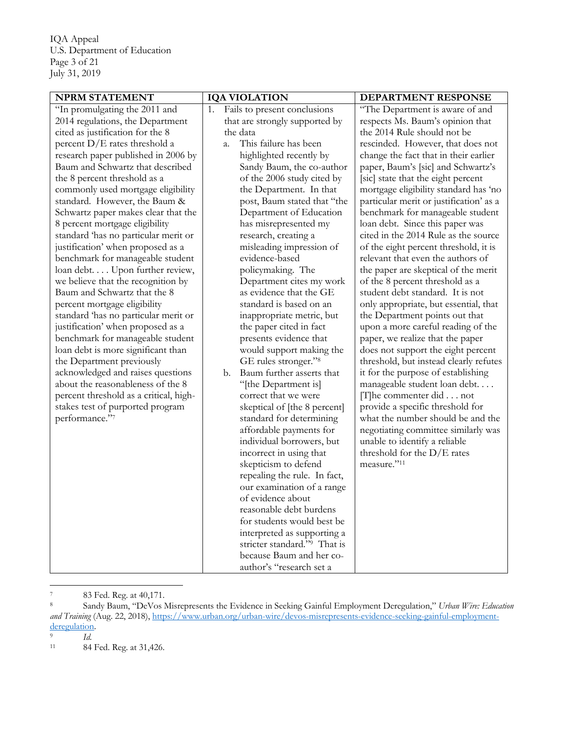U.S. Department of Education Page 3 of 21 IQA Appeal July 31, 2019

| <b>NPRM STATEMENT</b>                  | <b>IQA VIOLATION</b>                     | DEPARTMENT RESPONSE                     |
|----------------------------------------|------------------------------------------|-----------------------------------------|
| "In promulgating the 2011 and          | Fails to present conclusions<br>1.       | "The Department is aware of and         |
| 2014 regulations, the Department       | that are strongly supported by           | respects Ms. Baum's opinion that        |
| cited as justification for the 8       | the data                                 | the 2014 Rule should not be             |
| percent $D/E$ rates threshold a        | This failure has been<br>a.              | rescinded. However, that does not       |
| research paper published in 2006 by    | highlighted recently by                  | change the fact that in their earlier   |
| Baum and Schwartz that described       | Sandy Baum, the co-author                | paper, Baum's [sic] and Schwartz's      |
| the 8 percent threshold as a           | of the 2006 study cited by               | [sic] state that the eight percent      |
| commonly used mortgage eligibility     | the Department. In that                  | mortgage eligibility standard has 'no   |
| standard. However, the Baum &          | post, Baum stated that "the              | particular merit or justification' as a |
| Schwartz paper makes clear that the    | Department of Education                  | benchmark for manageable student        |
| 8 percent mortgage eligibility         | has misrepresented my                    | loan debt. Since this paper was         |
| standard 'has no particular merit or   | research, creating a                     | cited in the 2014 Rule as the source    |
| justification' when proposed as a      | misleading impression of                 | of the eight percent threshold, it is   |
| benchmark for manageable student       | evidence-based                           | relevant that even the authors of       |
| loan debt Upon further review,         | policymaking. The                        | the paper are skeptical of the merit    |
| we believe that the recognition by     | Department cites my work                 | of the 8 percent threshold as a         |
| Baum and Schwartz that the 8           | as evidence that the GE                  | student debt standard. It is not        |
| percent mortgage eligibility           | standard is based on an                  | only appropriate, but essential, that   |
| standard 'has no particular merit or   | inappropriate metric, but                | the Department points out that          |
| justification' when proposed as a      | the paper cited in fact                  | upon a more careful reading of the      |
| benchmark for manageable student       | presents evidence that                   | paper, we realize that the paper        |
| loan debt is more significant than     | would support making the                 | does not support the eight percent      |
| the Department previously              | GE rules stronger." <sup>8</sup>         | threshold, but instead clearly refutes  |
| acknowledged and raises questions      | Baum further asserts that<br>b.          | it for the purpose of establishing      |
| about the reasonableness of the 8      | "[the Department is]                     | manageable student loan debt            |
| percent threshold as a critical, high- | correct that we were                     | $[T]$ he commenter did not              |
| stakes test of purported program       | skeptical of [the 8 percent]             | provide a specific threshold for        |
| performance."7                         | standard for determining                 | what the number should be and the       |
|                                        | affordable payments for                  | negotiating committee similarly was     |
|                                        | individual borrowers, but                | unable to identify a reliable           |
|                                        | incorrect in using that                  | threshold for the $D/E$ rates           |
|                                        | skepticism to defend                     | measure."11                             |
|                                        | repealing the rule. In fact,             |                                         |
|                                        | our examination of a range               |                                         |
|                                        | of evidence about                        |                                         |
|                                        | reasonable debt burdens                  |                                         |
|                                        | for students would best be               |                                         |
|                                        | interpreted as supporting a              |                                         |
|                                        | stricter standard." <sup>9</sup> That is |                                         |
|                                        | because Baum and her co-                 |                                         |
|                                        | author's "research set a                 |                                         |
|                                        |                                          |                                         |

 $\overline{\phantom{a}}$ 

 $\,$  8  $\,$  *and Training* (Aug. 22, 2018), <https://www.urban.org/urban-wire/devos-misrepresents-evidence-seeking-gainful-employment>-83 Fed. Reg. at 40,171.<br>Sandy Baum, "DeVos Misrepresents the Evidence in Seeking Gainful Employment Deregulation," *Urban Wire: Education* deregulation. 9 *Id.* 

 $\,9$ 

 $11\,$ 84 Fed. Reg. at 31,426.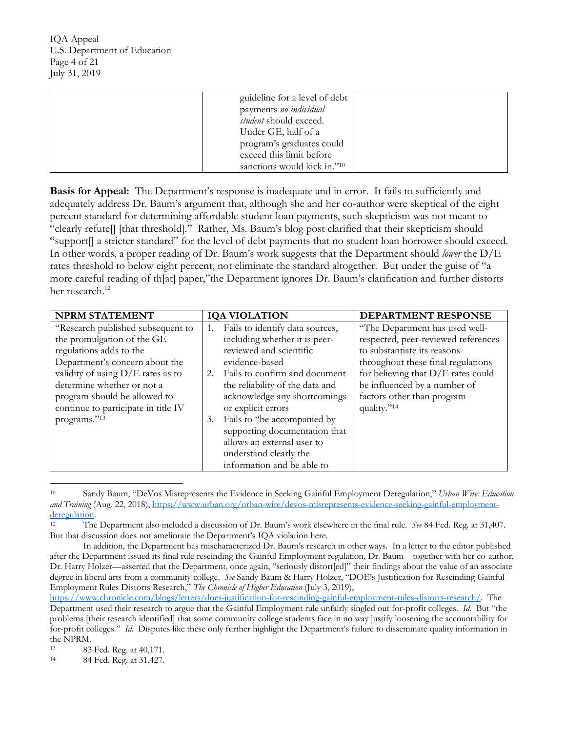U.S. Department of Education Page 4 of 21 IQA Appeal July 31, 2019

| guideline for a level of debt<br>payments no individual |  |
|---------------------------------------------------------|--|
| <i>student</i> should exceed.                           |  |
| Under GE, half of a                                     |  |
| program's graduates could                               |  |
| exceed this limit before                                |  |
| sanctions would kick in."10                             |  |

Basis for Appeal: The Department's response is inadequate and in error. It fails to sufficiently and adequately address Dr. Baum's argument that, although she and her co-author were skeptical of the eight "clearly refute[] [that threshold]." Rather, Ms. Baum's blog post clarified that their skepticism should "support[] a stricter standard" for the level of debt payments that no student loan borrower should exceed. "support[] a stricter standard" for the level of debt payments that no student loan borrower should exceed. In other words, a proper reading of Dr. Baum's work suggests that the Department should *lower* the D/E rates threshold to below eight percent, not eliminate the standard altogether. But under the guise of "a more careful reading of th[at] paper,"the Department ignores Dr. Baum's clarification and further distorts percent standard for determining affordable student loan payments, such skepticism was not meant to her research.<sup>12</sup>

| <b>NPRM STATEMENT</b>               |    | <b>IQA VIOLATION</b>            | DEPARTMENT RESPONSE                  |
|-------------------------------------|----|---------------------------------|--------------------------------------|
| "Research published subsequent to   |    | Fails to identify data sources, | "The Department has used well-       |
| the promulgation of the GE          |    | including whether it is peer-   | respected, peer-reviewed references  |
| regulations adds to the             |    | reviewed and scientific         | to substantiate its reasons          |
| Department's concern about the      |    | evidence-based                  | throughout these final regulations   |
| validity of using $D/E$ rates as to | 2. | Fails to confirm and document   | for believing that $D/E$ rates could |
| determine whether or not a          |    | the reliability of the data and | be influenced by a number of         |
| program should be allowed to        |    | acknowledge any shortcomings    | factors other than program           |
| continue to participate in title IV |    | or explicit errors              | quality."14                          |
| programs."13                        | 3. | Fails to "be accompanied by     |                                      |
|                                     |    | supporting documentation that   |                                      |
|                                     |    | allows an external user to      |                                      |
|                                     |    | understand clearly the          |                                      |
|                                     |    | information and be able to      |                                      |

 $10$  *and Training* (Aug. 22, 2018), <https://www.urban.org/urban-wire/devos-misrepresents-evidence-seeking-gainful-employment>-10 Sandy Baum, "DeVos Misrepresents the Evidence in Seeking Gainful Employment Deregulation," *Urban Wire: Education*  deregulation.<br><sup>12</sup> The Department also included a discussion of Dr. Baum's work elsewhere in the final rule. *See* 84 Fed. Reg. at 31,407.

But that discussion does not ameliorate the Department's IQA violation here.

 In addition, the Department has mischaracterized Dr. Baum's research in other ways. In a letter to the editor published after the Department issued its final rule rescinding the Gainful Employment regulation, Dr. Baum—together with her co-author, Dr. Harry Holzer—asserted that the Department, once again, "seriously distort[ed]" their findings about the value of an associate degree in liberal arts from a community college. *See* Sandy Baum & Harry Holzer, "DOE's Justification for Rescinding Gainful Employment Rules Distorts Research," *The Chronicle of Higher Education* (July 3, 2019),

 Department used their research to argue that the Gainful Employment rule unfairly singled out for-profit colleges. *Id.* But "the problems [their research identified] that some community college students face in no way justify loosening the accountability for for-profit colleges." *Id.* Disputes like these only further highlight the Department's failure to disseminate quality information in <https://www.chronicle.com/blogs/letters/does-justification-for-rescinding-gainful-employment-rules-distorts-research>/. The the NPRM.

<sup>13 83</sup> Fed. Reg. at 40,171.

 $14$ 84 Fed. Reg. at 31,427.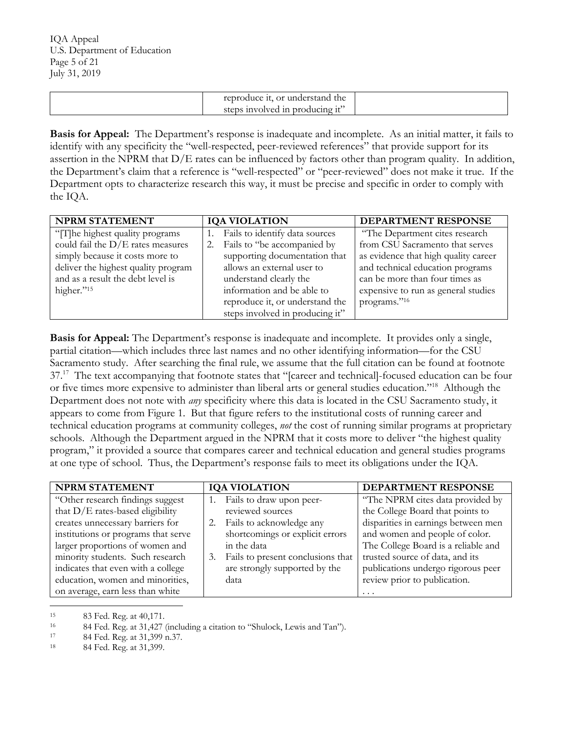| reproduce it,<br>, or understand the |  |
|--------------------------------------|--|
| steps involved in producing it'      |  |

Basis for Appeal: The Department's response is inadequate and incomplete. As an initial matter, it fails to assertion in the NPRM that D/E rates can be influenced by factors other than program quality. In addition, the Department's claim that a reference is "well-respected" or "peer-reviewed" does not make it true. If the identify with any specificity the "well-respected, peer-reviewed references" that provide support for its Department opts to characterize research this way, it must be precise and specific in order to comply with the IQA.

| NPRM STATEMENT                      | <b>IQA VIOLATION</b>              | DEPARTMENT RESPONSE                  |
|-------------------------------------|-----------------------------------|--------------------------------------|
| "The highest quality programs"      | Fails to identify data sources    | "The Department cites research       |
| could fail the D/E rates measures   | Fails to "be accompanied by<br>2. | from CSU Sacramento that serves      |
| simply because it costs more to     | supporting documentation that     | as evidence that high quality career |
| deliver the highest quality program | allows an external user to        | and technical education programs     |
| and as a result the debt level is   | understand clearly the            | can be more than four times as       |
| higher."15                          | information and be able to        | expensive to run as general studies  |
|                                     | reproduce it, or understand the   | programs."16                         |
|                                     | steps involved in producing it"   |                                      |

 partial citation—which includes three last names and no other identifying information—for the CSU Sacramento study. After searching the final rule, we assume that the full citation can be found at footnote 37.<sup>17</sup> The text accompanying that footnote states that "[career and technical]-focused education can be four or five times more expensive to administer than liberal arts or general studies education."<sup>18</sup> Although the Department does not note with *any* specificity where this data is located in the CSU Sacramento study, it appears to come from Figure 1. But that figure refers to the institutional costs of running career and technical education programs at community colleges, *not* the cost of running similar programs at proprietary schools. Although the Department argued in the NPRM that it costs more to deliver "the highest quality **Basis for Appeal:** The Department's response is inadequate and incomplete. It provides only a single, program," it provided a source that compares career and technical education and general studies programs at one type of school. Thus, the Department's response fails to meet its obligations under the IQA.

| NPRM STATEMENT                      | <b>IQA VIOLATION</b>                    | <b>DEPARTMENT RESPONSE</b>          |
|-------------------------------------|-----------------------------------------|-------------------------------------|
| "Other research findings suggest    | Fails to draw upon peer-                | "The NPRM cites data provided by    |
| that $D/E$ rates-based eligibility  | reviewed sources                        | the College Board that points to    |
| creates unnecessary barriers for    | Fails to acknowledge any<br>2.          | disparities in earnings between men |
| institutions or programs that serve | shortcomings or explicit errors         | and women and people of color.      |
| larger proportions of women and     | in the data                             | The College Board is a reliable and |
| minority students. Such research    | Fails to present conclusions that<br>3. | trusted source of data, and its     |
| indicates that even with a college  | are strongly supported by the           | publications undergo rigorous peer  |
| education, women and minorities,    | data                                    | review prior to publication.        |
| on average, earn less than white    |                                         | .                                   |

15

<sup>16</sup> 15 83 Fed. Reg. at 40,171. 16 84 Fed. Reg. at 31,427 (including a citation to "Shulock, Lewis and Tan"). 17 84 Fed. Reg. at 31,399 n.37. 18 84 Fed. Reg. at 31,399.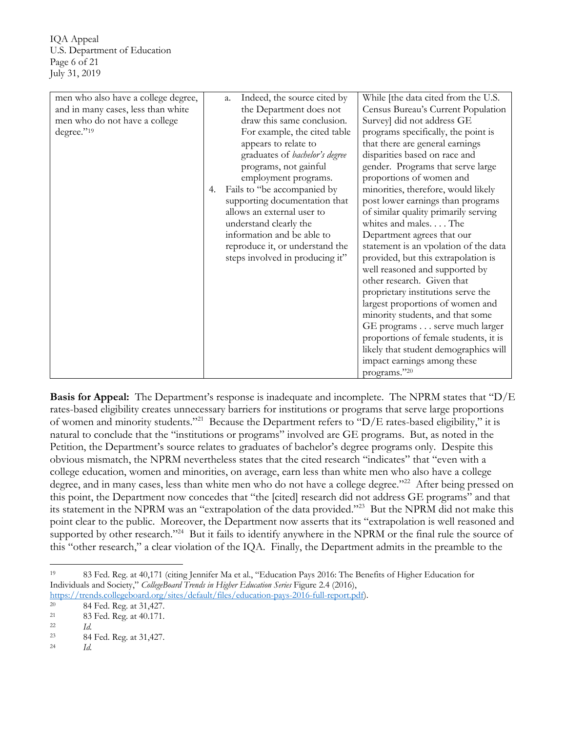U.S. Department of Education Page 6 of 21 IQA Appeal July 31, 2019

| men who also have a college degree, |    | Indeed, the source cited by<br>a. | While [the data cited from the U.S.   |
|-------------------------------------|----|-----------------------------------|---------------------------------------|
| and in many cases, less than white  |    | the Department does not           | Census Bureau's Current Population    |
| men who do not have a college       |    | draw this same conclusion.        | Survey] did not address GE            |
| degree."19                          |    | For example, the cited table      | programs specifically, the point is   |
|                                     |    | appears to relate to              | that there are general earnings       |
|                                     |    | graduates of bachelor's degree    | disparities based on race and         |
|                                     |    | programs, not gainful             | gender. Programs that serve large     |
|                                     |    | employment programs.              | proportions of women and              |
|                                     | 4. | Fails to "be accompanied by       | minorities, therefore, would likely   |
|                                     |    | supporting documentation that     | post lower earnings than programs     |
|                                     |    | allows an external user to        | of similar quality primarily serving  |
|                                     |    | understand clearly the            | whites and males The                  |
|                                     |    | information and be able to        | Department agrees that our            |
|                                     |    | reproduce it, or understand the   | statement is an vpolation of the data |
|                                     |    | steps involved in producing it"   | provided, but this extrapolation is   |
|                                     |    |                                   | well reasoned and supported by        |
|                                     |    |                                   | other research. Given that            |
|                                     |    |                                   | proprietary institutions serve the    |
|                                     |    |                                   | largest proportions of women and      |
|                                     |    |                                   | minority students, and that some      |
|                                     |    |                                   | GE programs serve much larger         |
|                                     |    |                                   | proportions of female students, it is |
|                                     |    |                                   | likely that student demographics will |
|                                     |    |                                   | impact earnings among these           |
|                                     |    |                                   | programs."20                          |

**Basis for Appeal:** The Department's response is inadequate and incomplete. The NPRM states that "D/E rates-based eligibility creates unnecessary barriers for institutions or programs that serve large proportions of women and minority students."<sup>21</sup> Because the Department refers to "D/E rates-based eligibility," it is natural to conclude that the "institutions or programs" involved are GE programs. But, as noted in the Petition, the Department's source relates to graduates of bachelor's degree programs only. Despite this obvious mismatch, the NPRM nevertheless states that the cited research "indicates" that "even with a degree, and in many cases, less than white men who do not have a college degree."<sup>22</sup> After being pressed on its statement in the NPRM was an "extrapolation of the data provided."<sup>23</sup> But the NPRM did not make this point clear to the public. Moreover, the Department now asserts that its "extrapolation is well reasoned and supported by other research."<sup>24</sup> But it fails to identify anywhere in the NPRM or the final rule the source of this "other research," a clear violation of the IQA. Finally, the Department admits in the preamble to the college education, women and minorities, on average, earn less than white men who also have a college this point, the Department now concedes that "the [cited] research did not address GE programs" and that

 19 Individuals and Society," *CollegeBoard Trends in Higher Education Series* Figure 2.4 (2016), 83 Fed. Reg. at 40,171 (citing Jennifer Ma et al., "Education Pays 2016: The Benefits of Higher Education for

<https://trends.collegeboard.org/sites/default/files/education-pays-2016-full-report.pdf>). 20 84 Fed. Reg. at 31,427. 21 83 Fed. Reg. at 40.171. 22 *Id.* 

 $20\,$ 

 $22$ 

<sup>23 84</sup> Fed. Reg. at 31,427. 24 *Id.*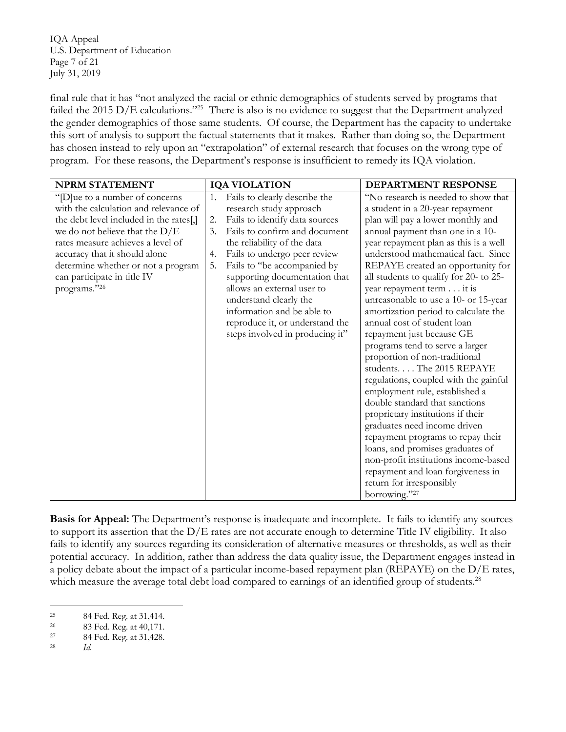U.S. Department of Education Page 7 of 21 IQA Appeal July 31, 2019

failed the 2015 D/E calculations."<sup>25</sup> There is also is no evidence to suggest that the Department analyzed the gender demographics of those same students. Of course, the Department has the capacity to undertake this sort of analysis to support the factual statements that it makes. Rather than doing so, the Department has chosen instead to rely upon an "extrapolation" of external research that focuses on the wrong type of program. For these reasons, the Department's response is insufficient to remedy its IQA violation. final rule that it has "not analyzed the racial or ethnic demographics of students served by programs that

| <b>NPRM STATEMENT</b>                                                                                                                                                                                                                                                                                             | <b>IQA VIOLATION</b>                                                                                                                                                                                                                                                                                                                                                                                                                                 | <b>DEPARTMENT RESPONSE</b>                                                                                                                                                                                                                                                                                                                                                                                                                                                                                                                                                                                                                                                                                                                                                                                                                                                                                                                                                    |
|-------------------------------------------------------------------------------------------------------------------------------------------------------------------------------------------------------------------------------------------------------------------------------------------------------------------|------------------------------------------------------------------------------------------------------------------------------------------------------------------------------------------------------------------------------------------------------------------------------------------------------------------------------------------------------------------------------------------------------------------------------------------------------|-------------------------------------------------------------------------------------------------------------------------------------------------------------------------------------------------------------------------------------------------------------------------------------------------------------------------------------------------------------------------------------------------------------------------------------------------------------------------------------------------------------------------------------------------------------------------------------------------------------------------------------------------------------------------------------------------------------------------------------------------------------------------------------------------------------------------------------------------------------------------------------------------------------------------------------------------------------------------------|
| "[D]ue to a number of concerns<br>with the calculation and relevance of<br>the debt level included in the rates[,]<br>we do not believe that the $D/E$<br>rates measure achieves a level of<br>accuracy that it should alone<br>determine whether or not a program<br>can participate in title IV<br>programs."26 | Fails to clearly describe the<br>1.<br>research study approach<br>Fails to identify data sources<br>2.<br>Fails to confirm and document<br>3.<br>the reliability of the data<br>Fails to undergo peer review<br>4.<br>Fails to "be accompanied by<br>5.<br>supporting documentation that<br>allows an external user to<br>understand clearly the<br>information and be able to<br>reproduce it, or understand the<br>steps involved in producing it" | "No research is needed to show that<br>a student in a 20-year repayment<br>plan will pay a lower monthly and<br>annual payment than one in a 10-<br>year repayment plan as this is a well<br>understood mathematical fact. Since<br>REPAYE created an opportunity for<br>all students to qualify for 20- to 25-<br>year repayment term it is<br>unreasonable to use a 10- or 15-year<br>amortization period to calculate the<br>annual cost of student loan<br>repayment just because GE<br>programs tend to serve a larger<br>proportion of non-traditional<br>students The 2015 REPAYE<br>regulations, coupled with the gainful<br>employment rule, established a<br>double standard that sanctions<br>proprietary institutions if their<br>graduates need income driven<br>repayment programs to repay their<br>loans, and promises graduates of<br>non-profit institutions income-based<br>repayment and loan forgiveness in<br>return for irresponsibly<br>borrowing."27 |

 to support its assertion that the D/E rates are not accurate enough to determine Title IV eligibility. It also potential accuracy. In addition, rather than address the data quality issue, the Department engages instead in a policy debate about the impact of a particular income-based repayment plan (REPAYE) on the D/E rates, which measure the average total debt load compared to earnings of an identified group of students.<sup>28</sup> **Basis for Appeal:** The Department's response is inadequate and incomplete. It fails to identify any sources fails to identify any sources regarding its consideration of alternative measures or thresholds, as well as their

<sup>25</sup> 

<sup>26</sup> 25 84 Fed. Reg. at 31,414.<br>
26 83 Fed. Reg. at 40,171.<br>
27 84 Fed. Reg. at 31,428.<br> *Id.*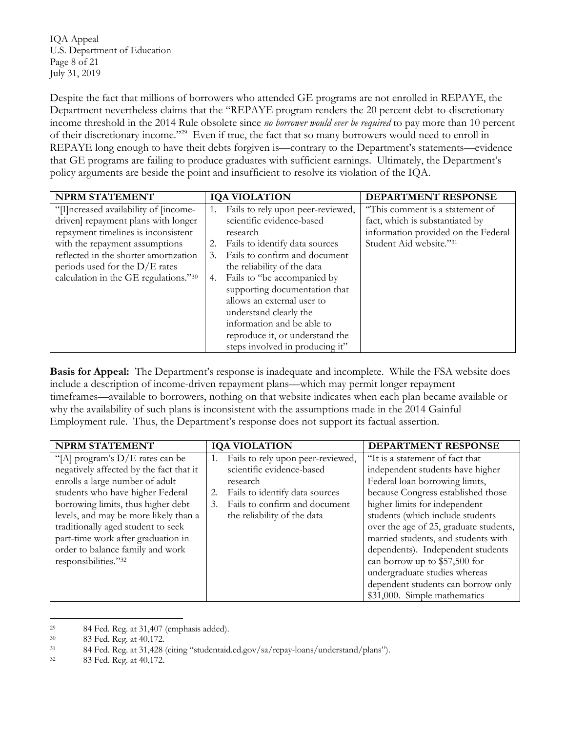U.S. Department of Education Page 8 of 21 IQA Appeal July 31, 2019

 Department nevertheless claims that the "REPAYE program renders the 20 percent debt-to-discretionary of their discretionary income."<sup>29</sup> Even if true, the fact that so many borrowers would need to enroll in that GE programs are failing to produce graduates with sufficient earnings. Ultimately, the Department's policy arguments are beside the point and insufficient to resolve its violation of the IQA. Despite the fact that millions of borrowers who attended GE programs are not enrolled in REPAYE, the income threshold in the 2014 Rule obsolete since *no borrower would ever be required* to pay more than 10 percent REPAYE long enough to have theit debts forgiven is—contrary to the Department's statements—evidence

| <b>NPRM STATEMENT</b>                  | <b>IQA VIOLATION</b>                    | DEPARTMENT RESPONSE                 |
|----------------------------------------|-----------------------------------------|-------------------------------------|
| "[I] ncreased availability of [income- | Fails to rely upon peer-reviewed,<br>1. | "This comment is a statement of     |
| driven] repayment plans with longer    | scientific evidence-based               | fact, which is substantiated by     |
| repayment timelines is inconsistent    | research                                | information provided on the Federal |
| with the repayment assumptions         | Fails to identify data sources<br>2.    | Student Aid website."31             |
| reflected in the shorter amortization  | Fails to confirm and document<br>3.     |                                     |
| periods used for the $D/E$ rates       | the reliability of the data             |                                     |
| calculation in the GE regulations."30  | Fails to "be accompanied by<br>4.       |                                     |
|                                        | supporting documentation that           |                                     |
|                                        | allows an external user to              |                                     |
|                                        | understand clearly the                  |                                     |
|                                        | information and be able to              |                                     |
|                                        | reproduce it, or understand the         |                                     |
|                                        | steps involved in producing it"         |                                     |

 timeframes—available to borrowers, nothing on that website indicates when each plan became available or why the availability of such plans is inconsistent with the assumptions made in the 2014 Gainful Employment rule. Thus, the Department's response does not support its factual assertion. **Basis for Appeal:** The Department's response is inadequate and incomplete. While the FSA website does include a description of income-driven repayment plans—which may permit longer repayment

| <b>NPRM STATEMENT</b>                   | <b>IQA VIOLATION</b>                    | <b>DEPARTMENT RESPONSE</b>             |
|-----------------------------------------|-----------------------------------------|----------------------------------------|
| "[A] program's $D/E$ rates can be       | Fails to rely upon peer-reviewed,<br>1. | "It is a statement of fact that        |
| negatively affected by the fact that it | scientific evidence-based               | independent students have higher       |
| enrolls a large number of adult         | research                                | Federal loan borrowing limits,         |
| students who have higher Federal        | Fails to identify data sources<br>2.    | because Congress established those     |
| borrowing limits, thus higher debt      | Fails to confirm and document<br>3.     | higher limits for independent          |
| levels, and may be more likely than a   | the reliability of the data             | students (which include students       |
| traditionally aged student to seek      |                                         | over the age of 25, graduate students, |
| part-time work after graduation in      |                                         | married students, and students with    |
| order to balance family and work        |                                         | dependents). Independent students      |
| responsibilities."32                    |                                         | can borrow up to \$57,500 for          |
|                                         |                                         | undergraduate studies whereas          |
|                                         |                                         | dependent students can borrow only     |
|                                         |                                         | \$31,000. Simple mathematics           |

<sup>29</sup> 

<sup>30</sup> 

 $31\,$ 29 84 Fed. Reg. at 31,407 (emphasis added). 33 Fed. Reg. at 40,172.<br>34 Fed. Reg. at 31,428 (citing "studentaid.ed.gov/sa/repay-loans/understand/plans"). 33 Fed. Reg. at 40,172.

<sup>32</sup>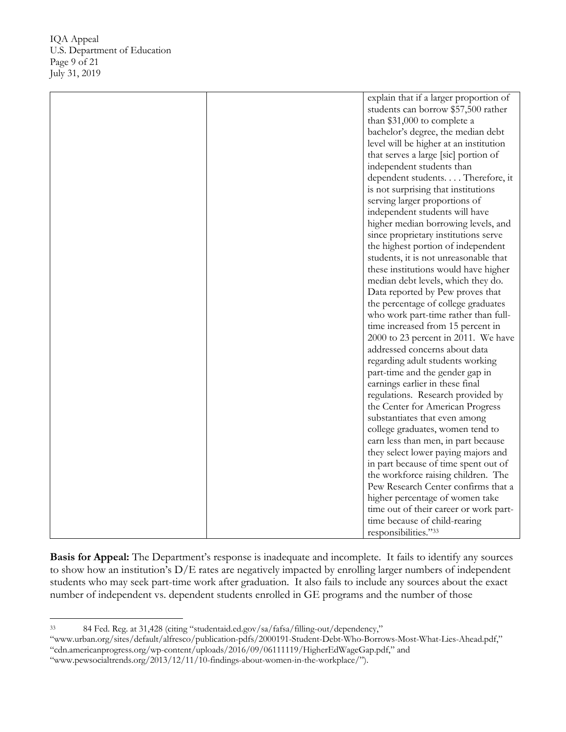|  | explain that if a larger proportion of |
|--|----------------------------------------|
|  | students can borrow \$57,500 rather    |
|  | than $$31,000$ to complete a           |
|  | bachelor's degree, the median debt     |
|  | level will be higher at an institution |
|  | that serves a large [sic] portion of   |
|  | independent students than              |
|  | dependent students Therefore, it       |
|  | is not surprising that institutions    |
|  | serving larger proportions of          |
|  | independent students will have         |
|  | higher median borrowing levels, and    |
|  | since proprietary institutions serve   |
|  | the highest portion of independent     |
|  | students, it is not unreasonable that  |
|  | these institutions would have higher   |
|  | median debt levels, which they do.     |
|  | Data reported by Pew proves that       |
|  | the percentage of college graduates    |
|  | who work part-time rather than full-   |
|  | time increased from 15 percent in      |
|  | 2000 to 23 percent in 2011. We have    |
|  | addressed concerns about data          |
|  | regarding adult students working       |
|  | part-time and the gender gap in        |
|  | earnings earlier in these final        |
|  | regulations. Research provided by      |
|  | the Center for American Progress       |
|  | substantiates that even among          |
|  | college graduates, women tend to       |
|  | earn less than men, in part because    |
|  | they select lower paying majors and    |
|  | in part because of time spent out of   |
|  | the workforce raising children. The    |
|  | Pew Research Center confirms that a    |
|  | higher percentage of women take        |
|  | time out of their career or work part- |
|  | time because of child-rearing          |
|  | responsibilities."33                   |

 students who may seek part-time work after graduation. It also fails to include any sources about the exact **Basis for Appeal:** The Department's response is inadequate and incomplete. It fails to identify any sources to show how an institution's D/E rates are negatively impacted by enrolling larger numbers of independent number of independent vs. dependent students enrolled in GE programs and the number of those

 33 84 Fed. Reg. at 31,428 (citing "[studentaid.ed.gov/sa/fafsa/filling-out/dependency,](https://studentaid.ed.gov/sa/fafsa/filling-out/dependency)"

[<sup>&</sup>quot;www.urban.org/sites/default/alfresco/publication-pdfs/2000191-Student-Debt-Who-Borrows-Most-What-Lies-Ahead.pdf](www.urban.org/sites/default/alfresco/publication-pdfs/2000191-Student-Debt-Who-Borrows-Most-What-Lies-Ahead.pdf)," ["cdn.americanprogress.org/wp-content/uploads/2016/09/06111119/HigherEdWageGap.pdf](https://cdn.americanprogress.org/wp-content/uploads/2016/09/06111119/HigherEdWageGap.pdf)," and

[<sup>&</sup>quot;www.pewsocialtrends.org/2013/12/11/10-findings-about-women-in-the-workplace](www.pewsocialtrends.org/2013/12/11/10-findings-about-women-in-the-workplace)/").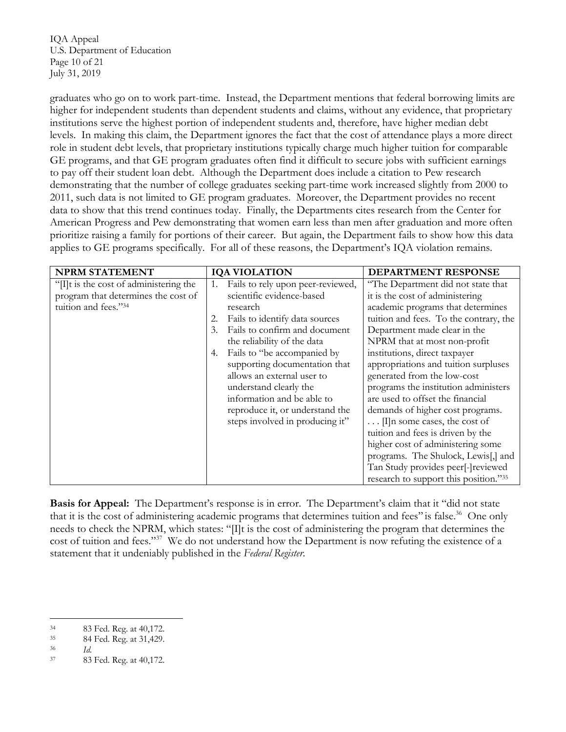U.S. Department of Education Page 10 of 21 IQA Appeal July 31, 2019

 levels. In making this claim, the Department ignores the fact that the cost of attendance plays a more direct role in student debt levels, that proprietary institutions typically charge much higher tuition for comparable GE programs, and that GE program graduates often find it difficult to secure jobs with sufficient earnings to pay off their student loan debt. Although the Department does include a citation to Pew research graduates who go on to work part-time. Instead, the Department mentions that federal borrowing limits are higher for independent students than dependent students and claims, without any evidence, that proprietary institutions serve the highest portion of independent students and, therefore, have higher median debt demonstrating that the number of college graduates seeking part-time work increased slightly from 2000 to 2011, such data is not limited to GE program graduates. Moreover, the Department provides no recent data to show that this trend continues today. Finally, the Departments cites research from the Center for American Progress and Pew demonstrating that women earn less than men after graduation and more often prioritize raising a family for portions of their career. But again, the Department fails to show how this data applies to GE programs specifically. For all of these reasons, the Department's IQA violation remains.

| <b>NPRM STATEMENT</b>                | <b>IQA VIOLATION</b>                    | <b>DEPARTMENT RESPONSE</b>             |
|--------------------------------------|-----------------------------------------|----------------------------------------|
| "If is the cost of administering the | Fails to rely upon peer-reviewed,<br>1. | "The Department did not state that     |
| program that determines the cost of  | scientific evidence-based               | it is the cost of administering        |
| tuition and fees."34                 | research                                | academic programs that determines      |
|                                      | Fails to identify data sources<br>2.    | tuition and fees. To the contrary, the |
|                                      | Fails to confirm and document<br>3.     | Department made clear in the           |
|                                      | the reliability of the data             | NPRM that at most non-profit           |
|                                      | Fails to "be accompanied by<br>4.       | institutions, direct taxpayer          |
|                                      | supporting documentation that           | appropriations and tuition surpluses   |
|                                      | allows an external user to              | generated from the low-cost            |
|                                      | understand clearly the                  | programs the institution administers   |
|                                      | information and be able to              | are used to offset the financial       |
|                                      | reproduce it, or understand the         | demands of higher cost programs.       |
|                                      | steps involved in producing it"         | $\ldots$ [I]n some cases, the cost of  |
|                                      |                                         | tuition and fees is driven by the      |
|                                      |                                         | higher cost of administering some      |
|                                      |                                         | programs. The Shulock, Lewis[,] and    |
|                                      |                                         | Tan Study provides peer[-]reviewed     |
|                                      |                                         | research to support this position."35  |

Basis for Appeal: The Department's response is in error. The Department's claim that it "did not state that it is the cost of administering academic programs that determines tuition and fees" is false.<sup>36</sup> One only cost of tuition and fees."<sup>37</sup> We do not understand how the Department is now refuting the existence of a statement that it undeniably published in the *Federal Register*. needs to check the NPRM, which states: "[I]t is the cost of administering the program that determines the

<sup>34</sup> 

<sup>35</sup> 34 83 Fed. Reg. at 40,172. 35 84 Fed. Reg. at 31,429. 36 *Id.* 

<sup>36</sup> 

<sup>37 83</sup> Fed. Reg. at 40,172.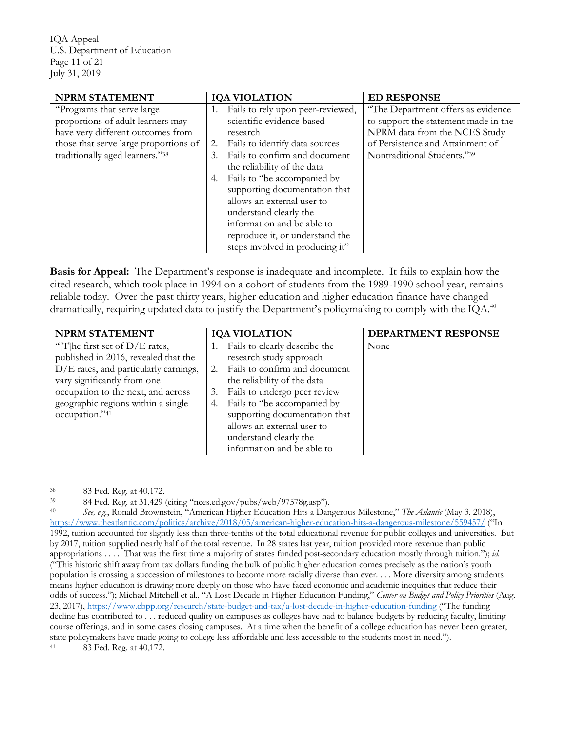U.S. Department of Education Page 11 of 21 IQA Appeal July 31, 2019

| NPRM STATEMENT                        | <b>IQA VIOLATION</b>                    | <b>ED RESPONSE</b>                   |
|---------------------------------------|-----------------------------------------|--------------------------------------|
| "Programs that serve large"           | Fails to rely upon peer-reviewed,<br>1. | "The Department offers as evidence"  |
| proportions of adult learners may     | scientific evidence-based               | to support the statement made in the |
| have very different outcomes from     | research                                | NPRM data from the NCES Study        |
| those that serve large proportions of | Fails to identify data sources<br>2.    | of Persistence and Attainment of     |
| traditionally aged learners."38       | Fails to confirm and document<br>3.     | Nontraditional Students."39          |
|                                       | the reliability of the data             |                                      |
|                                       | Fails to "be accompanied by<br>4.       |                                      |
|                                       | supporting documentation that           |                                      |
|                                       | allows an external user to              |                                      |
|                                       | understand clearly the                  |                                      |
|                                       | information and be able to              |                                      |
|                                       | reproduce it, or understand the         |                                      |
|                                       | steps involved in producing it"         |                                      |

Basis for Appeal: The Department's response is inadequate and incomplete. It fails to explain how the cited research, which took place in 1994 on a cohort of students from the 1989-1990 school year, remains reliable today. Over the past thirty years, higher education and higher education finance have changed dramatically, requiring updated data to justify the Department's policymaking to comply with the IQA.<sup>40</sup>

| <b>NPRM STATEMENT</b>                 | <b>IQA VIOLATION</b>                | DEPARTMENT RESPONSE |
|---------------------------------------|-------------------------------------|---------------------|
| "[T] he first set of $D/E$ rates,     | Fails to clearly describe the<br>1. | None                |
| published in 2016, revealed that the  | research study approach             |                     |
| D/E rates, and particularly earnings, | Fails to confirm and document<br>2. |                     |
| vary significantly from one           | the reliability of the data         |                     |
| occupation to the next, and across    | Fails to undergo peer review<br>3.  |                     |
| geographic regions within a single    | Fails to "be accompanied by<br>4.   |                     |
| occupation."41                        | supporting documentation that       |                     |
|                                       | allows an external user to          |                     |
|                                       | understand clearly the              |                     |
|                                       | information and be able to          |                     |

<sup>38</sup> 

39

<sup>40</sup>  1992, tuition accounted for slightly less than three-tenths of the total educational revenue for public colleges and universities. But by 2017, tuition supplied nearly half of the total revenue. In 28 states last year, tuition provided more revenue than public appropriations . . . . That was the first time a majority of states funded post-secondary education mostly through tuition."); *id.*  ("This historic shift away from tax dollars funding the bulk of public higher education comes precisely as the nation's youth population is crossing a succession of milestones to become more racially diverse than ever. . . . More diversity among students means higher education is drawing more deeply on those who have faced economic and academic inequities that reduce their odds of success."); Michael Mitchell et al., "A Lost Decade in Higher Education Funding," *Center on Budget and Policy Priorities* (Aug. 23, 2017),<https://www.cbpp.org/research/state-budget-and-tax/a-lost-decade-in-higher-education-funding> ("The funding decline has contributed to . . . reduced quality on campuses as colleges have had to balance budgets by reducing faculty, limiting course offerings, and in some cases closing campuses. At a time when the benefit of a college education has never been greater, state policymakers have made going to college less affordable and less accessible to the students most in need."). 83 Fed. Reg. at 40,172.<br>84 Fed. Reg. at 31,429 (citing "nces.ed.gov/pubs/web/97578g.asp").<br>*See, e.g.*, Ronald Brownstein, "American Higher Education Hits a Dangerous Milestone," *The Atlantic* (May 3, 2018), <https://www.theatlantic.com/politics/archive/2018/05/american-higher-education-hits-a-dangerous-milestone/559457>/ ("In 83 Fed. Reg. at 40,172. 41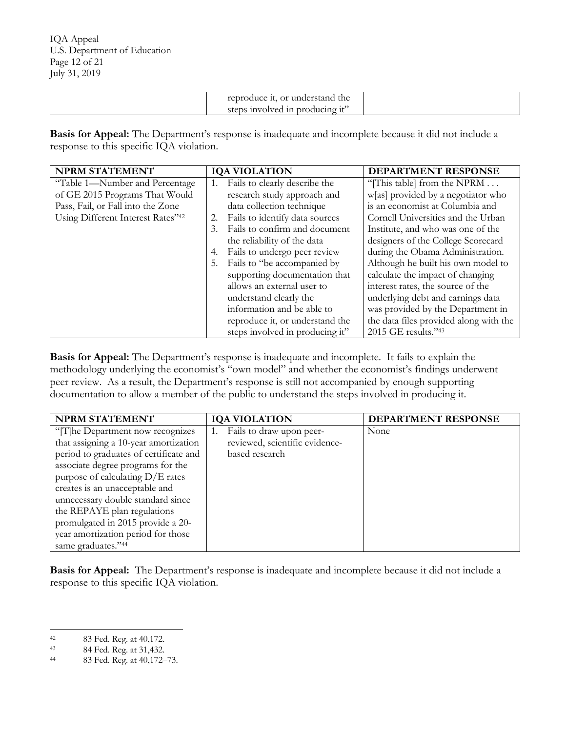| steps involved in producing it' |
|---------------------------------|
|---------------------------------|

 **Basis for Appeal:** The Department's response is inadequate and incomplete because it did not include a response to this specific IQA violation.

| NPRM STATEMENT                    |    | <b>IQA VIOLATION</b>            | DEPARTMENT RESPONSE                    |
|-----------------------------------|----|---------------------------------|----------------------------------------|
| "Table 1—Number and Percentage    | 1. | Fails to clearly describe the   | "[This table] from the NPRM            |
| of GE 2015 Programs That Would    |    | research study approach and     | w[as] provided by a negotiator who     |
| Pass, Fail, or Fall into the Zone |    | data collection technique       | is an economist at Columbia and        |
| Using Different Interest Rates"42 | 2. | Fails to identify data sources  | Cornell Universities and the Urban     |
|                                   | 3. | Fails to confirm and document   | Institute, and who was one of the      |
|                                   |    | the reliability of the data     | designers of the College Scorecard     |
|                                   | 4. | Fails to undergo peer review    | during the Obama Administration.       |
|                                   | 5. | Fails to "be accompanied by     | Although he built his own model to     |
|                                   |    | supporting documentation that   | calculate the impact of changing       |
|                                   |    | allows an external user to      | interest rates, the source of the      |
|                                   |    | understand clearly the          | underlying debt and earnings data      |
|                                   |    | information and be able to      | was provided by the Department in      |
|                                   |    | reproduce it, or understand the | the data files provided along with the |
|                                   |    | steps involved in producing it" | 2015 GE results."43                    |

 **Basis for Appeal:** The Department's response is inadequate and incomplete. It fails to explain the documentation to allow a member of the public to understand the steps involved in producing it. methodology underlying the economist's "own model" and whether the economist's findings underwent peer review. As a result, the Department's response is still not accompanied by enough supporting

| NPRM STATEMENT                         | <b>IQA VIOLATION</b>           | DEPARTMENT RESPONSE |
|----------------------------------------|--------------------------------|---------------------|
| "[T]he Department now recognizes       | Fails to draw upon peer-       | None                |
| that assigning a 10-year amortization  | reviewed, scientific evidence- |                     |
| period to graduates of certificate and | based research                 |                     |
| associate degree programs for the      |                                |                     |
| purpose of calculating $D/E$ rates     |                                |                     |
| creates is an unacceptable and         |                                |                     |
| unnecessary double standard since      |                                |                     |
| the REPAYE plan regulations            |                                |                     |
| promulgated in 2015 provide a 20-      |                                |                     |
| year amortization period for those     |                                |                     |
| same graduates."44                     |                                |                     |

Basis for Appeal: The Department's response is inadequate and incomplete because it did not include a response to this specific IQA violation.

 $42$ 

 $43\,$ 

 $44\,$ 42 83 Fed. Reg. at 40,172. 43 84 Fed. Reg. at 31,432. 44 83 Fed. Reg. at 40,172–73.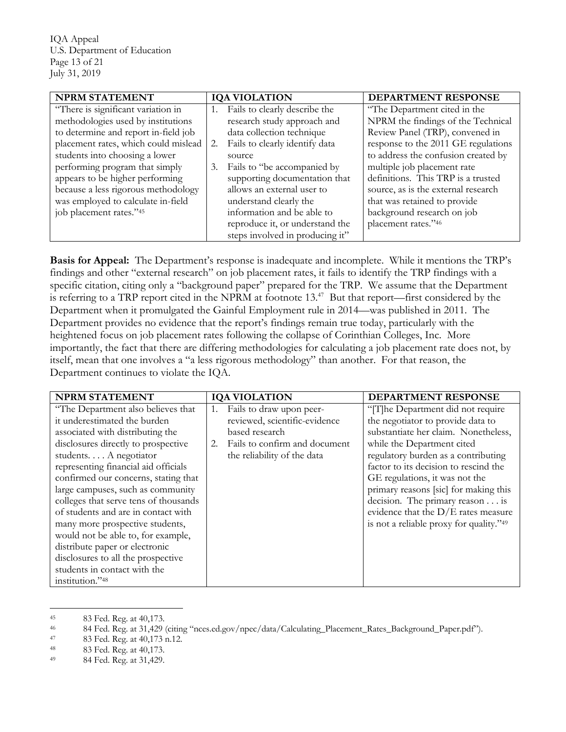U.S. Department of Education Page 13 of 21 IQA Appeal July 31, 2019

| NPRM STATEMENT                       | <b>IQA VIOLATION</b>                 | DEPARTMENT RESPONSE                 |
|--------------------------------------|--------------------------------------|-------------------------------------|
| "There is significant variation in   | Fails to clearly describe the        | "The Department cited in the        |
| methodologies used by institutions   | research study approach and          | NPRM the findings of the Technical  |
| to determine and report in-field job | data collection technique            | Review Panel (TRP), convened in     |
| placement rates, which could mislead | Fails to clearly identify data<br>2. | response to the 2011 GE regulations |
| students into choosing a lower       | source                               | to address the confusion created by |
| performing program that simply       | Fails to "be accompanied by<br>3.    | multiple job placement rate         |
| appears to be higher performing      | supporting documentation that        | definitions. This TRP is a trusted  |
| because a less rigorous methodology  | allows an external user to           | source, as is the external research |
| was employed to calculate in-field   | understand clearly the               | that was retained to provide        |
| job placement rates."45              | information and be able to           | background research on job          |
|                                      | reproduce it, or understand the      | placement rates."46                 |
|                                      | steps involved in producing it"      |                                     |

 **Basis for Appeal:** The Department's response is inadequate and incomplete. While it mentions the TRP's is referring to a TRP report cited in the NPRM at footnote  $13.^{47}$  But that report—first considered by the Department when it promulgated the Gainful Employment rule in 2014—was published in 2011. The Department provides no evidence that the report's findings remain true today, particularly with the heightened focus on job placement rates following the collapse of Corinthian Colleges, Inc. More itself, mean that one involves a "a less rigorous methodology" than another. For that reason, the findings and other "external research" on job placement rates, it fails to identify the TRP findings with a specific citation, citing only a "background paper" prepared for the TRP. We assume that the Department importantly, the fact that there are differing methodologies for calculating a job placement rate does not, by Department continues to violate the IQA.

| NPRM STATEMENT                        | <b>IQA VIOLATION</b>                | DEPARTMENT RESPONSE                     |
|---------------------------------------|-------------------------------------|-----------------------------------------|
| "The Department also believes that    | Fails to draw upon peer-<br>1.      | "[T]he Department did not require       |
| it underestimated the burden          | reviewed, scientific-evidence       | the negotiator to provide data to       |
| associated with distributing the      | based research                      | substantiate her claim. Nonetheless,    |
| disclosures directly to prospective   | Fails to confirm and document<br>2. | while the Department cited              |
| students A negotiator                 | the reliability of the data         | regulatory burden as a contributing     |
| representing financial aid officials  |                                     | factor to its decision to rescind the   |
| confirmed our concerns, stating that  |                                     | GE regulations, it was not the          |
| large campuses, such as community     |                                     | primary reasons [sic] for making this   |
| colleges that serve tens of thousands |                                     | decision. The primary reason $\dots$ is |
| of students and are in contact with   |                                     | evidence that the $D/E$ rates measure   |
| many more prospective students,       |                                     | is not a reliable proxy for quality."49 |
| would not be able to, for example,    |                                     |                                         |
| distribute paper or electronic        |                                     |                                         |
| disclosures to all the prospective    |                                     |                                         |
| students in contact with the          |                                     |                                         |
| institution."48                       |                                     |                                         |

<sup>45</sup> 

<sup>46</sup> 45 83 Fed. Reg. at 40,173.<br>84 Fed. Reg. at 31,429 (citing "nces.ed.gov/npec/data/Calculating\_Placement\_Rates\_Background\_Paper.pdf").<br>83 Fed. Reg. at 40,173 n.12. 48 Fed. Reg. at 31,429.

<sup>47</sup> 

<sup>48</sup> 

<sup>49</sup>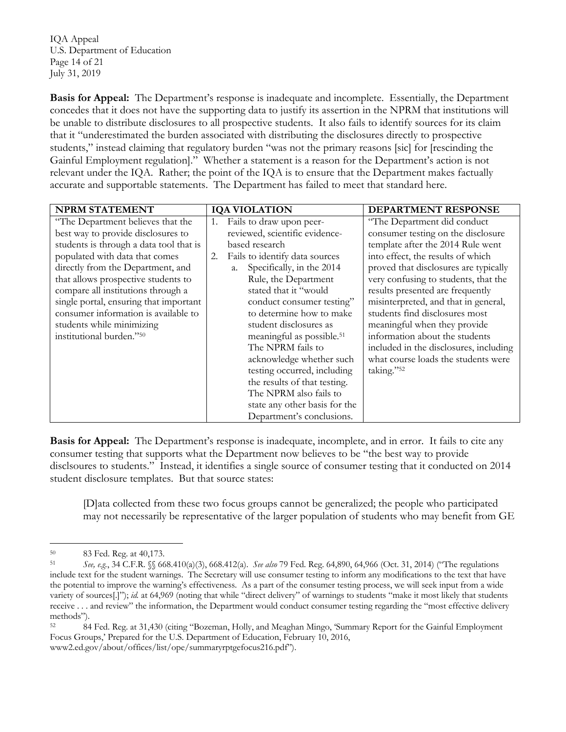U.S. Department of Education Page 14 of 21 IQA Appeal July 31, 2019

Basis for Appeal: The Department's response is inadequate and incomplete. Essentially, the Department be unable to distribute disclosures to all prospective students. It also fails to identify sources for its claim Gainful Employment regulation]." Whether a statement is a reason for the Department's action is not relevant under the IQA. Rather; the point of the IQA is to ensure that the Department makes factually accurate and supportable statements. The Department has failed to meet that standard here. concedes that it does not have the supporting data to justify its assertion in the NPRM that institutions will that it "underestimated the burden associated with distributing the disclosures directly to prospective students," instead claiming that regulatory burden "was not the primary reasons [sic] for [rescinding the

| <b>NPRM STATEMENT</b>                   | <b>IQA VIOLATION</b>                  | DEPARTMENT RESPONSE                    |
|-----------------------------------------|---------------------------------------|----------------------------------------|
| "The Department believes that the       | Fails to draw upon peer-<br>1.        | "The Department did conduct"           |
| best way to provide disclosures to      | reviewed, scientific evidence-        | consumer testing on the disclosure     |
| students is through a data tool that is | based research                        | template after the 2014 Rule went      |
| populated with data that comes          | Fails to identify data sources<br>2.  | into effect, the results of which      |
| directly from the Department, and       | Specifically, in the 2014<br>a.       | proved that disclosures are typically  |
| that allows prospective students to     | Rule, the Department                  | very confusing to students, that the   |
| compare all institutions through a      | stated that it "would                 | results presented are frequently       |
| single portal, ensuring that important  | conduct consumer testing"             | misinterpreted, and that in general,   |
| consumer information is available to    | to determine how to make              | students find disclosures most         |
| students while minimizing               | student disclosures as                | meaningful when they provide           |
| institutional burden."50                | meaningful as possible. <sup>51</sup> | information about the students         |
|                                         | The NPRM fails to                     | included in the disclosures, including |
|                                         | acknowledge whether such              | what course loads the students were    |
|                                         | testing occurred, including           | taking."52                             |
|                                         | the results of that testing.          |                                        |
|                                         | The NPRM also fails to                |                                        |
|                                         | state any other basis for the         |                                        |
|                                         | Department's conclusions.             |                                        |

 **Basis for Appeal:** The Department's response is inadequate, incomplete, and in error. It fails to cite any disclsoures to students." Instead, it identifies a single source of consumer testing that it conducted on 2014 consumer testing that supports what the Department now believes to be "the best way to provide student disclosure templates. But that source states:

[D]ata collected from these two focus groups cannot be generalized; the people who participated may not necessarily be representative of the larger population of students who may benefit from GE

 variety of sources[.]"); *id.* at 64,969 (noting that while "direct delivery" of warnings to students "make it most likely that students methods"). 50 83 Fed. Reg. at 40,173. 51 *See, e.g.*, 34 C.F.R. §§ 668.410(a)(3), 668.412(a). *See also* 79 Fed. Reg. 64,890, 64,966 (Oct. 31, 2014) ("The regulations include text for the student warnings. The Secretary will use consumer testing to inform any modifications to the text that have the potential to improve the warning's effectiveness. As a part of the consumer testing process, we will seek input from a wide receive . . . and review" the information, the Department would conduct consumer testing regarding the "most effective delivery

<sup>52</sup>  Focus Groups,' Prepared for the U.S. Department of Education, February 10, 2016, 84 Fed. Reg. at 31,430 (citing "Bozeman, Holly, and Meaghan Mingo, 'Summary Report for the Gainful Employment [www2.ed.gov/about/offices/list/ope/summaryrptgefocus216.pdf](https://www2.ed.gov/about/offices/list/ope/summaryrptgefocus216.pdf)").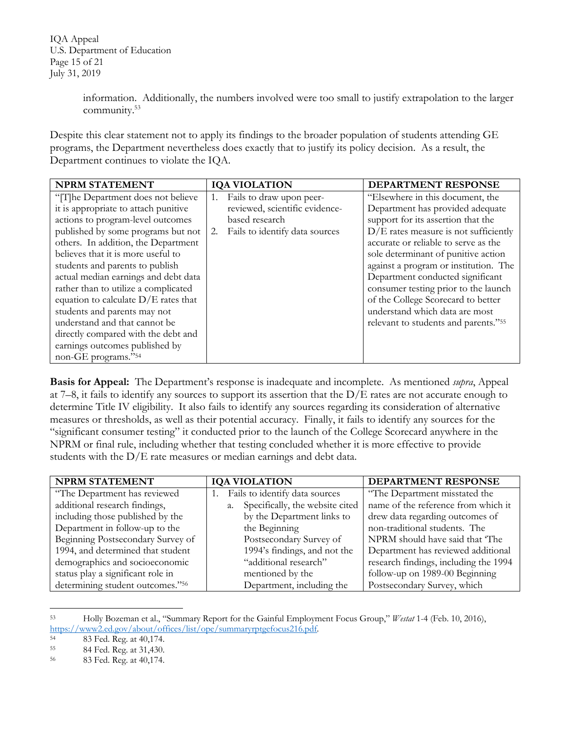U.S. Department of Education Page 15 of 21 IQA Appeal July 31, 2019

> information. Additionally, the numbers involved were too small to justify extrapolation to the larger [community.53](https://community.53)

 Despite this clear statement not to apply its findings to the broader population of students attending GE programs, the Department nevertheless does exactly that to justify its policy decision. As a result, the Department continues to violate the IQA.

| <b>NPRM STATEMENT</b>                  | <b>IQA VIOLATION</b>                 | <b>DEPARTMENT RESPONSE</b>              |
|----------------------------------------|--------------------------------------|-----------------------------------------|
| "[T]he Department does not believe     | Fails to draw upon peer-<br>1.       | "Elsewhere in this document, the        |
| it is appropriate to attach punitive   | reviewed, scientific evidence-       | Department has provided adequate        |
| actions to program-level outcomes      | based research                       | support for its assertion that the      |
| published by some programs but not     | Fails to identify data sources<br>2. | $D/E$ rates measure is not sufficiently |
| others. In addition, the Department    |                                      | accurate or reliable to serve as the    |
| believes that it is more useful to     |                                      | sole determinant of punitive action     |
| students and parents to publish        |                                      | against a program or institution. The   |
| actual median earnings and debt data   |                                      | Department conducted significant        |
| rather than to utilize a complicated   |                                      | consumer testing prior to the launch    |
| equation to calculate $D/E$ rates that |                                      | of the College Scorecard to better      |
| students and parents may not           |                                      | understand which data are most          |
| understand and that cannot be          |                                      | relevant to students and parents."55    |
| directly compared with the debt and    |                                      |                                         |
| earnings outcomes published by         |                                      |                                         |
| non-GE programs."54                    |                                      |                                         |

 **Basis for Appeal:** The Department's response is inadequate and incomplete. As mentioned *supra*, Appeal measures or thresholds, as well as their potential accuracy. Finally, it fails to identify any sources for the NPRM or final rule, including whether that testing concluded whether it is more effective to provide students with the D/E rate measures or median earnings and debt data. at 7–8, it fails to identify any sources to support its assertion that the  $D/E$  rates are not accurate enough to determine Title IV eligibility. It also fails to identify any sources regarding its consideration of alternative "significant consumer testing" it conducted prior to the launch of the College Scorecard anywhere in the

| <b>NPRM STATEMENT</b>             | <b>IQA VIOLATION</b>                  | DEPARTMENT RESPONSE                   |
|-----------------------------------|---------------------------------------|---------------------------------------|
| "The Department has reviewed      | Fails to identify data sources        | "The Department misstated the         |
| additional research findings,     | Specifically, the website cited<br>a. | name of the reference from which it   |
| including those published by the  | by the Department links to            | drew data regarding outcomes of       |
| Department in follow-up to the    | the Beginning                         | non-traditional students. The         |
| Beginning Postsecondary Survey of | Postsecondary Survey of               | NPRM should have said that 'The       |
| 1994, and determined that student | 1994's findings, and not the          | Department has reviewed additional    |
| demographics and socioeconomic    | "additional research"                 | research findings, including the 1994 |
| status play a significant role in | mentioned by the                      | follow-up on 1989-00 Beginning        |
| determining student outcomes."56  | Department, including the             | Postsecondary Survey, which           |

<sup>53</sup> 53 Holly Bozeman et al., "Summary Report for the Gainful Employment Focus Group," *Westat* 1-4 (Feb. 10, 2016), [https://www2.ed.gov/about/offices/list/ope/summaryrptgefocus216.pdf.](https://www2.ed.gov/about/offices/list/ope/summaryrptgefocus216.pdf)<br>54 83 Fed. Reg. at 40,174.<br>55 84 Fed. Reg. at 31,430.

<sup>54</sup> 

 $55\,$ 

<sup>56</sup> 83 Fed. Reg. at 40,174.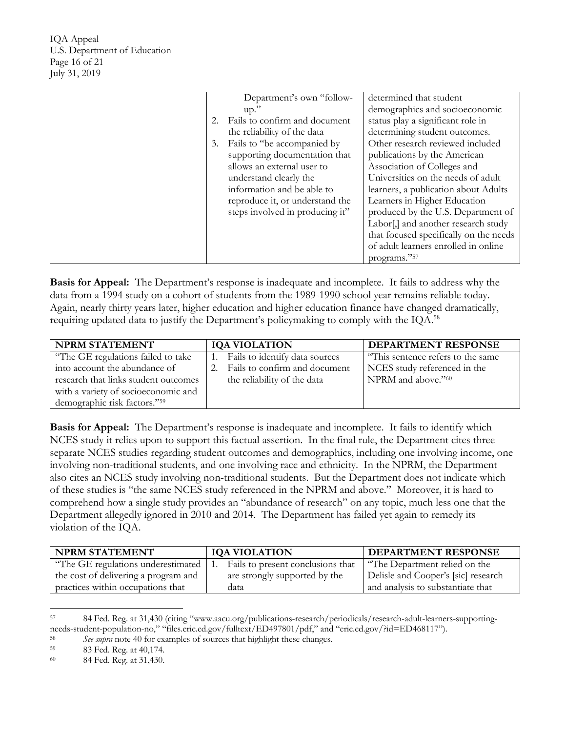U.S. Department of Education Page 16 of 21 IQA Appeal July 31, 2019

| Department's own "follow-           | determined that student                |
|-------------------------------------|----------------------------------------|
| up.'                                | demographics and socioeconomic         |
| Fails to confirm and document<br>2. | status play a significant role in      |
| the reliability of the data         | determining student outcomes.          |
| Fails to "be accompanied by<br>3.   | Other research reviewed included       |
| supporting documentation that       | publications by the American           |
| allows an external user to          | Association of Colleges and            |
| understand clearly the              | Universities on the needs of adult     |
| information and be able to          | learners, a publication about Adults   |
| reproduce it, or understand the     | Learners in Higher Education           |
| steps involved in producing it"     | produced by the U.S. Department of     |
|                                     | Labor[,] and another research study    |
|                                     | that focused specifically on the needs |
|                                     | of adult learners enrolled in online   |
|                                     | programs."57                           |

 **Basis for Appeal:** The Department's response is inadequate and incomplete. It fails to address why the data from a 1994 study on a cohort of students from the 1989-1990 school year remains reliable today. requiring updated data to justify the Department's policymaking to comply with the IQA. $^{58}$ Again, nearly thirty years later, higher education and higher education finance have changed dramatically,

| <b>NPRM STATEMENT</b>                | <b>IQA VIOLATION</b>              | <b>DEPARTMENT RESPONSE</b>         |
|--------------------------------------|-----------------------------------|------------------------------------|
| "The GE regulations failed to take   | 1. Fails to identify data sources | "This sentence refers to the same" |
| into account the abundance of        | 2. Fails to confirm and document  | NCES study referenced in the       |
| research that links student outcomes | the reliability of the data       | NPRM and above."60                 |
| with a variety of socioeconomic and  |                                   |                                    |
| demographic risk factors."59         |                                   |                                    |

Basis for Appeal: The Department's response is inadequate and incomplete. It fails to identify which NCES study it relies upon to support this factual assertion. In the final rule, the Department cites three also cites an NCES study involving non-traditional students. But the Department does not indicate which of these studies is "the same NCES study referenced in the NPRM and above." Moreover, it is hard to comprehend how a single study provides an "abundance of research" on any topic, much less one that the Department allegedly ignored in 2010 and 2014. The Department has failed yet again to remedy its separate NCES studies regarding student outcomes and demographics, including one involving income, one involving non-traditional students, and one involving race and ethnicity. In the NPRM, the Department violation of the IQA.

| <b>NPRM STATEMENT</b>                | <b>IQA VIOLATION</b>              | <b>DEPARTMENT RESPONSE</b>          |
|--------------------------------------|-----------------------------------|-------------------------------------|
| "The GE regulations underestimated   | Fails to present conclusions that | "The Department relied on the       |
| the cost of delivering a program and | are strongly supported by the     | Delisle and Cooper's [sic] research |
| practices within occupations that    | data                              | and analysis to substantiate that   |

<sup>57</sup> 57 84 Fed. Reg. at 31,430 (citing "<www.aacu.org/publications-research/periodicals/research-adult-learners-supporting>needs-student-population-no," "[files.eric.ed.gov/fulltext/ED497801/pdf,](https://files.eric.ed.gov/fulltext/ED497801/pdf)" and "eric.ed.gov/?id=ED468117").<br>
See supra note 40 for examples of sources that highlight these changes.<br>
83 Fed. Reg. at 40,174.<br>
84 Fed. Reg. at 3

<sup>58</sup> 

<sup>59</sup> 

<sup>60</sup>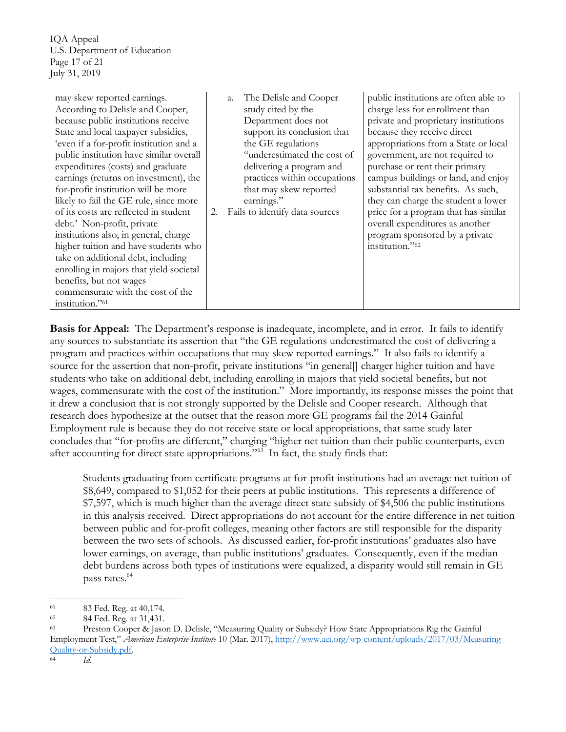U.S. Department of Education Page 17 of 21 IQA Appeal July 31, 2019

| may skew reported earnings.             |    | The Delisle and Cooper<br>a.   | public institutions are often able to |
|-----------------------------------------|----|--------------------------------|---------------------------------------|
| According to Delisle and Cooper,        |    | study cited by the             | charge less for enrollment than       |
| because public institutions receive     |    | Department does not            | private and proprietary institutions  |
| State and local taxpayer subsidies,     |    | support its conclusion that    | because they receive direct           |
| 'even if a for-profit institution and a |    | the GE regulations             | appropriations from a State or local  |
| public institution have similar overall |    | "underestimated the cost of    | government, are not required to       |
| expenditures (costs) and graduate       |    | delivering a program and       | purchase or rent their primary        |
| earnings (returns on investment), the   |    | practices within occupations   | campus buildings or land, and enjoy   |
| for-profit institution will be more     |    | that may skew reported         | substantial tax benefits. As such,    |
| likely to fail the GE rule, since more  |    | earnings."                     | they can charge the student a lower   |
| of its costs are reflected in student   | 2. | Fails to identify data sources | price for a program that has similar  |
| debt.' Non-profit, private              |    |                                | overall expenditures as another       |
| institutions also, in general, charge   |    |                                | program sponsored by a private        |
| higher tuition and have students who    |    |                                | institution."62                       |
| take on additional debt, including      |    |                                |                                       |
| enrolling in majors that yield societal |    |                                |                                       |
| benefits, but not wages                 |    |                                |                                       |
| commensurate with the cost of the       |    |                                |                                       |
| institution."61                         |    |                                |                                       |

Basis for Appeal: The Department's response is inadequate, incomplete, and in error. It fails to identify wages, commensurate with the cost of the institution." More importantly, its response misses the point that it drew a conclusion that is not strongly supported by the Delisle and Cooper research. Although that Employment rule is because they do not receive state or local appropriations, that same study later concludes that "for-profits are different," charging "higher net tuition than their public counterparts, even after accounting for direct state appropriations."<sup>63</sup> In fact, the study finds that: any sources to substantiate its assertion that "the GE regulations underestimated the cost of delivering a program and practices within occupations that may skew reported earnings." It also fails to identify a source for the assertion that non-profit, private institutions "in general[] charger higher tuition and have students who take on additional debt, including enrolling in majors that yield societal benefits, but not research does hypothesize at the outset that the reason more GE programs fail the 2014 Gainful

 in this analysis received. Direct appropriations do not account for the entire difference in net tuition between the two sets of schools. As discussed earlier, for-profit institutions' graduates also have lower earnings, on average, than public institutions' graduates. Consequently, even if the median pass rates.<sup>64</sup> Students graduating from certificate programs at for-profit institutions had an average net tuition of \$8,649, compared to \$1,052 for their peers at public institutions. This represents a difference of \$7,597, which is much higher than the average direct state subsidy of \$4,506 the public institutions between public and for-profit colleges, meaning other factors are still responsible for the disparity debt burdens across both types of institutions were equalized, a disparity would still remain in GE

<sup>61</sup> 

<sup>62</sup> 

<sup>63</sup>  Employment Test," *American Enterprise Institute* 10 (Mar. 2017), [http://www.aei.org/wp-content/uploads/2017/03/Measuring-](http://www.aei.org/wp-content/uploads/2017/03/Measuring)83 Fed. Reg. at 40,174.<br>84 Fed. Reg. at 31,431.<br>Preston Cooper & Jason D. Delisle, "Measuring Quality or Subsidy? How State Appropriations Rig the Gainful Quality-or-Subsidy.pdf. 64 *Id.*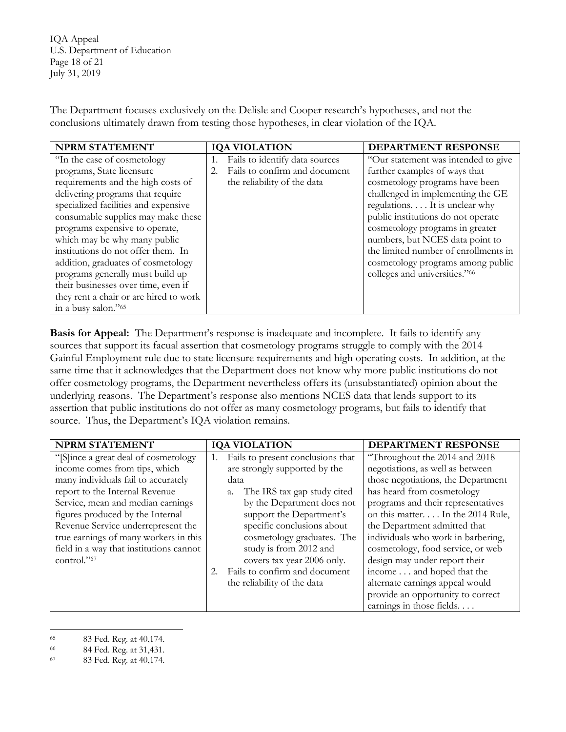U.S. Department of Education Page 18 of 21 IQA Appeal July 31, 2019

 conclusions ultimately drawn from testing those hypotheses, in clear violation of the IQA. The Department focuses exclusively on the Delisle and Cooper research's hypotheses, and not the

| <b>NPRM STATEMENT</b>                  | <b>IQA VIOLATION</b>           | DEPARTMENT RESPONSE                  |
|----------------------------------------|--------------------------------|--------------------------------------|
| "In the case of cosmetology"           | Fails to identify data sources | "Our statement was intended to give  |
| programs, State licensure              | Fails to confirm and document  | further examples of ways that        |
| requirements and the high costs of     | the reliability of the data    | cosmetology programs have been       |
| delivering programs that require       |                                | challenged in implementing the GE    |
| specialized facilities and expensive   |                                | regulations. It is unclear why       |
| consumable supplies may make these     |                                | public institutions do not operate   |
| programs expensive to operate,         |                                | cosmetology programs in greater      |
| which may be why many public           |                                | numbers, but NCES data point to      |
| institutions do not offer them. In     |                                | the limited number of enrollments in |
| addition, graduates of cosmetology     |                                | cosmetology programs among public    |
| programs generally must build up       |                                | colleges and universities."66        |
| their businesses over time, even if    |                                |                                      |
| they rent a chair or are hired to work |                                |                                      |
| in a busy salon." <sup>65</sup>        |                                |                                      |

Basis for Appeal: The Department's response is inadequate and incomplete. It fails to identify any offer cosmetology programs, the Department nevertheless offers its (unsubstantiated) opinion about the underlying reasons. The Department's response also mentions NCES data that lends support to its source. Thus, the Department's IQA violation remains. sources that support its facual assertion that cosmetology programs struggle to comply with the 2014 Gainful Employment rule due to state licensure requirements and high operating costs. In addition, at the same time that it acknowledges that the Department does not know why more public institutions do not assertion that public institutions do not offer as many cosmetology programs, but fails to identify that

| <b>NPRM STATEMENT</b>                   | <b>IQA VIOLATION</b>                    | DEPARTMENT RESPONSE                |
|-----------------------------------------|-----------------------------------------|------------------------------------|
| "[S]ince a great deal of cosmetology"   | Fails to present conclusions that<br>1. | "Throughout the 2014 and 2018      |
| income comes from tips, which           | are strongly supported by the           | negotiations, as well as between   |
| many individuals fail to accurately     | data                                    | those negotiations, the Department |
| report to the Internal Revenue          | The IRS tax gap study cited             | has heard from cosmetology         |
| Service, mean and median earnings       | by the Department does not              | programs and their representatives |
| figures produced by the Internal        | support the Department's                | on this matter. In the 2014 Rule,  |
| Revenue Service underrepresent the      | specific conclusions about              | the Department admitted that       |
| true earnings of many workers in this   | cosmetology graduates. The              | individuals who work in barbering, |
| field in a way that institutions cannot | study is from 2012 and                  | cosmetology, food service, or web  |
| control." <sup>67</sup>                 | covers tax year 2006 only.              | design may under report their      |
|                                         | Fails to confirm and document           | income and hoped that the          |
|                                         | the reliability of the data             | alternate earnings appeal would    |
|                                         |                                         | provide an opportunity to correct  |
|                                         |                                         | earnings in those fields           |

<sup>65</sup> 

<sup>66</sup> 

<sup>65 83</sup> Fed. Reg. at 40,174.<br>
66 84 Fed. Reg. at 31,431.<br>
67 83 Fed. Reg. at 40,174.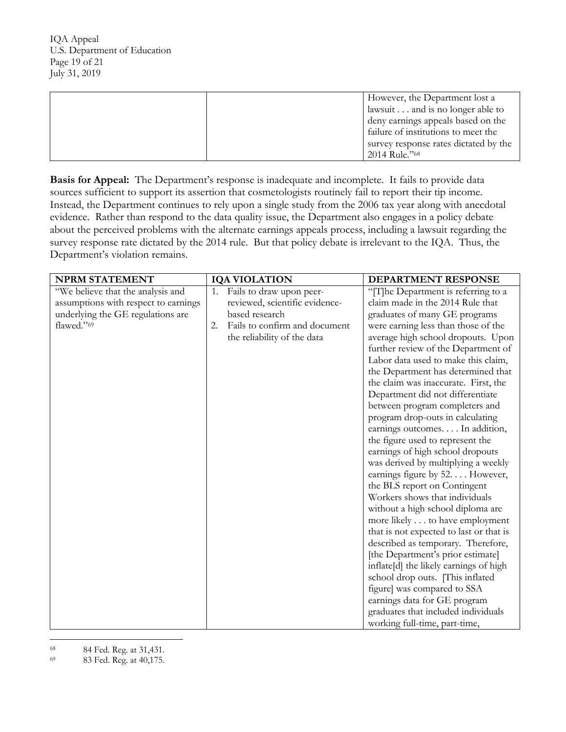U.S. Department of Education Page 19 of 21 IQA Appeal July 31, 2019

| However, the Department lost a        |
|---------------------------------------|
| lawsuit and is no longer able to      |
| deny earnings appeals based on the    |
| failure of institutions to meet the   |
| survey response rates dictated by the |
| 2014 Rule."68                         |

Basis for Appeal: The Department's response is inadequate and incomplete. It fails to provide data sources sufficient to support its assertion that cosmetologists routinely fail to report their tip income. Instead, the Department continues to rely upon a single study from the 2006 tax year along with anecdotal evidence. Rather than respond to the data quality issue, the Department also engages in a policy debate survey response rate dictated by the 2014 rule. But that policy debate is irrelevant to the IQA. Thus, the about the perceived problems with the alternate earnings appeals process, including a lawsuit regarding the Department's violation remains.

| <b>NPRM STATEMENT</b>                | <b>IQA VIOLATION</b>                | DEPARTMENT RESPONSE                     |
|--------------------------------------|-------------------------------------|-----------------------------------------|
| "We believe that the analysis and    | Fails to draw upon peer-<br>1.      | "[T]he Department is referring to a     |
| assumptions with respect to earnings | reviewed, scientific evidence-      | claim made in the 2014 Rule that        |
| underlying the GE regulations are    | based research                      | graduates of many GE programs           |
| flawed."69                           | Fails to confirm and document<br>2. | were earning less than those of the     |
|                                      | the reliability of the data         | average high school dropouts. Upon      |
|                                      |                                     | further review of the Department of     |
|                                      |                                     | Labor data used to make this claim,     |
|                                      |                                     | the Department has determined that      |
|                                      |                                     | the claim was inaccurate. First, the    |
|                                      |                                     | Department did not differentiate        |
|                                      |                                     | between program completers and          |
|                                      |                                     | program drop-outs in calculating        |
|                                      |                                     | earnings outcomes In addition,          |
|                                      |                                     | the figure used to represent the        |
|                                      |                                     | earnings of high school dropouts        |
|                                      |                                     | was derived by multiplying a weekly     |
|                                      |                                     | earnings figure by 52. However,         |
|                                      |                                     | the BLS report on Contingent            |
|                                      |                                     | Workers shows that individuals          |
|                                      |                                     | without a high school diploma are       |
|                                      |                                     | more likely to have employment          |
|                                      |                                     | that is not expected to last or that is |
|                                      |                                     | described as temporary. Therefore,      |
|                                      |                                     | [the Department's prior estimate]       |
|                                      |                                     | inflate[d] the likely earnings of high  |
|                                      |                                     | school drop outs. [This inflated        |
|                                      |                                     | figure] was compared to SSA             |
|                                      |                                     | earnings data for GE program            |
|                                      |                                     | graduates that included individuals     |
|                                      |                                     | working full-time, part-time,           |

- 68
- 69 84 Fed. Reg. at 31,431.<br>83 Fed. Reg. at 40,175.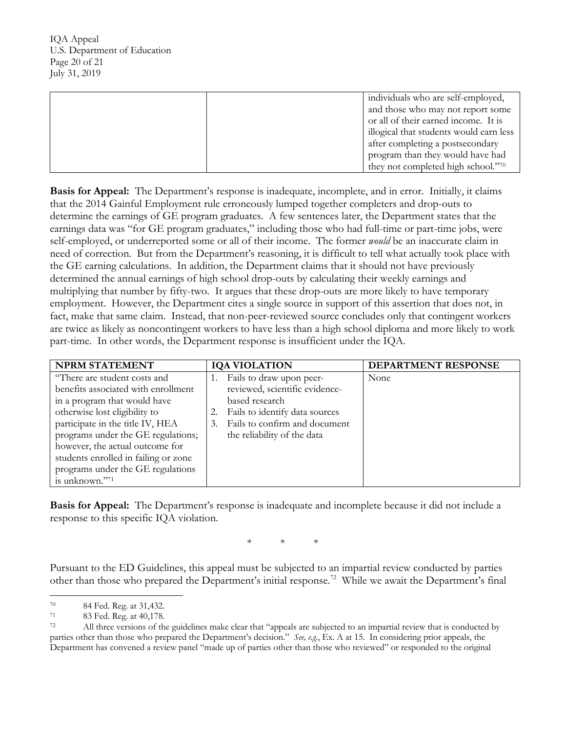| individuals who are self-employed,      |
|-----------------------------------------|
| and those who may not report some       |
| or all of their earned income. It is    |
| illogical that students would earn less |
| after completing a postsecondary        |
| program than they would have had        |
| they not completed high school."70      |

Basis for Appeal: The Department's response is inadequate, incomplete, and in error. Initially, it claims that the 2014 Gainful Employment rule erroneously lumped together completers and drop-outs to determine the earnings of GE program graduates. A few sentences later, the Department states that the earnings data was "for GE program graduates," including those who had full-time or part-time jobs, were self-employed, or underreported some or all of their income. The former *would* be an inaccurate claim in need of correction. But from the Department's reasoning, it is difficult to tell what actually took place with the GE earning calculations. In addition, the Department claims that it should not have previously determined the annual earnings of high school drop-outs by calculating their weekly earnings and employment. However, the Department cites a single source in support of this assertion that does not, in fact, make that same claim. Instead, that non-peer-reviewed source concludes only that contingent workers part-time. In other words, the Department response is insufficient under the IQA. multiplying that number by fifty-two. It argues that these drop-outs are more likely to have temporary are twice as likely as noncontingent workers to have less than a high school diploma and more likely to work

| <b>NPRM STATEMENT</b>                                                                                                                                                                                                                                                                                                                            | <b>IQA VIOLATION</b>                                                                                                                                                                 | <b>DEPARTMENT RESPONSE</b> |
|--------------------------------------------------------------------------------------------------------------------------------------------------------------------------------------------------------------------------------------------------------------------------------------------------------------------------------------------------|--------------------------------------------------------------------------------------------------------------------------------------------------------------------------------------|----------------------------|
| "There are student costs and<br>benefits associated with enrollment<br>in a program that would have<br>otherwise lost eligibility to<br>participate in the title IV, HEA<br>programs under the GE regulations;<br>however, the actual outcome for<br>students enrolled in failing or zone<br>programs under the GE regulations<br>is unknown."71 | Fails to draw upon peer-<br>reviewed, scientific evidence-<br>based research<br>Fails to identify data sources<br>Fails to confirm and document<br>3.<br>the reliability of the data | None                       |

Basis for Appeal: The Department's response is inadequate and incomplete because it did not include a response to this specific IQA violation.

\* \* \*

 Pursuant to the ED Guidelines, this appeal must be subjected to an impartial review conducted by parties other than those who prepared the Department's initial response.<sup>72</sup> While we await the Department's final

 $70\,$ 

<sup>71</sup> 

<sup>72</sup>  parties other than those who prepared the Department's decision." *See, e.g.*, Ex. A at 15. In considering prior appeals, the Department has convened a review panel "made up of parties other than those who reviewed" or responded to the original 70 84 Fed. Reg. at 31,432.<br>83 Fed. Reg. at 40,178.<br>All three versions of the guidelines make clear that "appeals are subjected to an impartial review that is conducted by